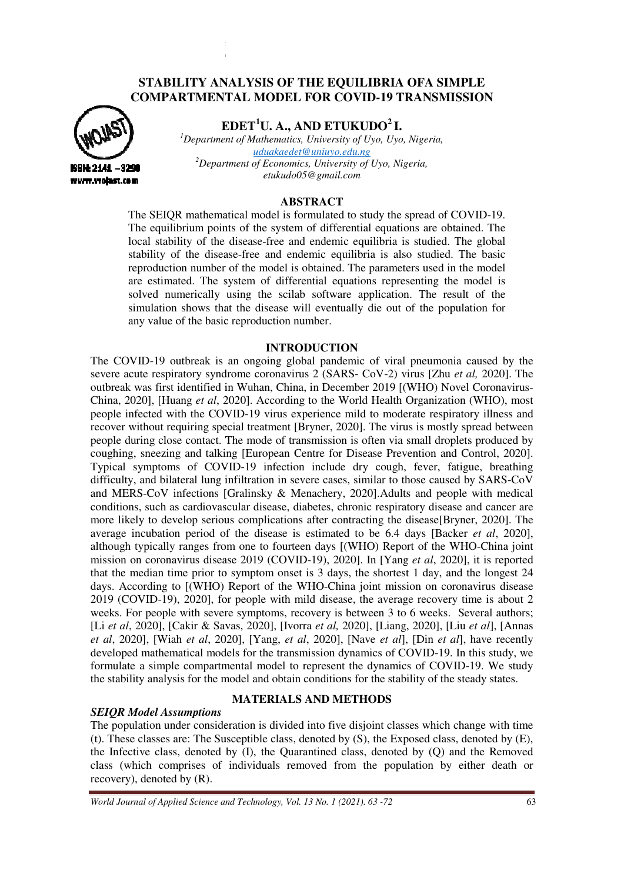# STABILITY ANALYSIS OF THE EQUILIBRIA OFA SIMPLE<br>'OMPARTMENTAL MODEL FOR COVID-19 TRANSMISSIOI **COMPARTMENTAL MODEL FOR COVID-19 TRANSMISSION**



**EDET <sup>1</sup>U. A., AND ETUKUDO<sup>2</sup>I.**

<sup>1</sup>Department of Mathematics, University of Uyo, Uyo, Nigeria, *<sup>2</sup>Department of Economics, University of Uyo, Nigeria, uduakaedet@uniuyo.edu.ng etukudo05@gmail.com* 

## **ABSTRACT**

The SEIQR mathematical model is formulated to study the spread of COVID-19. The equilibrium points of the system of differential equations are obtained. The local stability of the disease-free and endemic equilibria is studied. The global stability of the disease-free and endemic equilibria is also studied. The basic reproduction number of the model is obtained. The parameters used in the model are estimated. The system of differential equations representing the model is solved numerically using the scilab software application. The result of the simulation shows that the disease will eventually die out of the population for any value of the basic reproduction number.

## **INTRODUCTION**

The COVID-19 outbreak is an ongoing global pandemic of viral pneumonia caused by the severe acute respiratory syndrome coronavirus 2 (SARS- CoV-2) virus [Zhu *et al*, 2020]. The severe acute respiratory syndrome coronavirus 2 (SARS- CoV-2) virus [Zhu et al, 2020]. The outbreak was first identified in Wuhan, China, in December 2019 [(WHO) Novel Coronavirus-China, 2020], [Huang et al, 2020]. According to the World Health Organization (WHO), most people infected with the COVID-19 virus experience mild to moderate respiratory illness and recover without requiring special treatment [ [Bryner, 2020]. The virus is mostly spread between people during close contact. The mode of transmission is often via small droplets produced by coughing, sneezing and talking [ [European Centre for Disease Prevention and Control, Typical symptoms of COVID-19 infection include dry cough, fever, fatigue, breathing Typical symptoms of COVID-19 infection include dry cough, fever, fatigue, breathing difficulty, and bilateral lung infiltration in severe cases, similar to those caused by SARS-CoV and MERS-CoV infections [ [Gralinsky & Menachery, 2020].Adults and people with medical conditions, such as cardiovascular disease, diabetes, chronic respiratory disease and cancer are and MERS-CoV infections [Gralinsky & Menachery, 2020]. Adults and people with medical conditions, such as cardiovascular disease, diabetes, chronic respiratory disease and cancer are more likely to develop serious complica average incubation period of the disease is estimated to be 6.4 days [Backer *et al*, 2020], although typically ranges from one to fourteen days [(WHO) Report of the WHO-China joint mission on coronavirus disease 2019 (COVID-19), 2020]. In [Yang *et al*, 2020], it is reported that the median time prior to symptom onset is 3 days, the shortest 1 day, and the longest 24 days. According to [(WHO) Report of the WHO-China joint mission on coronavirus disease 2019 (COVID-19), 2020], for people with mild disease, the average recovery time is about 2 weeks. For people with severe symptoms, recovery is between 3 to 6 weeks. [Li et al, 2020], [Cakir & Savas, 2020], [Ivorra et al, 2020], [Liang, 2020], [Liu et al], [Annas *et al*, 2020], [Wiah *et al*, 2020], [Yang, *et al*, 2020], [Nave *et al*], [Din *et al*], have recently developed mathematical models for the transmission dynamics of COVID-19. In this study, we developed mathematical models for the transmission dynamics of COVID-19. In this study, we formulate a simple compartmental model to represent the dynamics of COVID-19. We study the stability analysis for the model and obtain conditions for the stability of the steady states. ], for people with mild disease, the average recovery t<br>severe symptoms, recovery is between 3 to 6 weeks. S<br>*t* Savas, 2020], [Ivorra *et al*, 2020], [Liang, 2020], [Liu ]. According to the World Health Organization (WHO), most -19 virus experience mild to moderate respiratory illness and treatment [Bryner, 2020]. The virus is mostly spread between mode of transmission is often via small d Several authors;

## **MATERIALS AND METHODS**

## *SEIQR Model Assumptions*

The population under consideration is divided into five disjoint classes which change with time (t). These classes are: The Susceptible class, denoted by (S), the Exposed class, denoted by (E), (t). These classes are: The Susceptible class, denoted by  $(S)$ , the Exposed class, denoted by  $(E)$ , the Infective class, denoted by  $(I)$ , the Quarantined class, denoted by  $(Q)$  and the Removed class (which comprises of individuals removed from the population by either death or recovery), denoted by (R).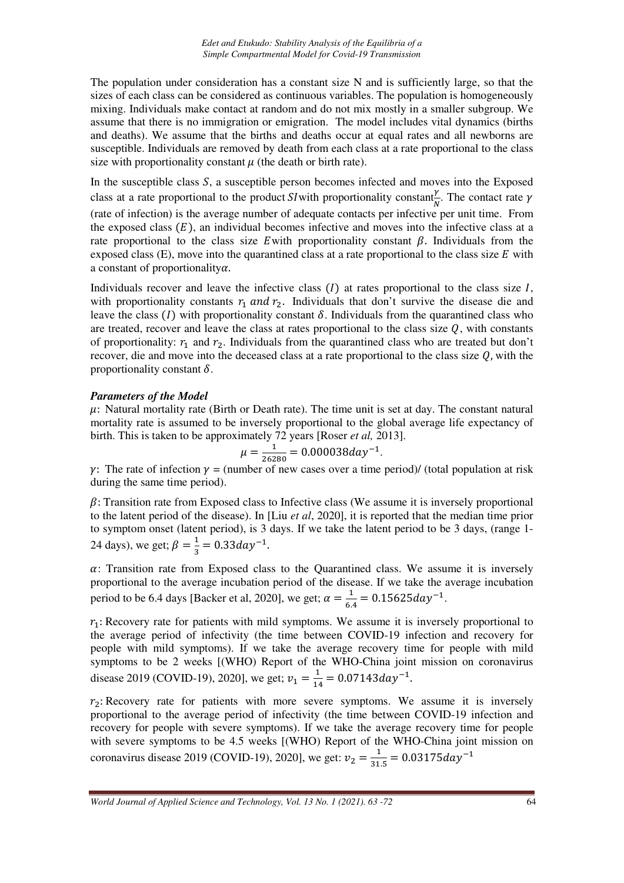The population under consideration has a constant size N and is sufficiently large, so that the sizes of each class can be considered as continuous variables. The population is homogeneously mixing. Individuals make contact at random and do not mix mostly in a smaller subgroup. We assume that there is no immigration or emigration. The model includes vital dynamics (births and deaths). We assume that the births and deaths occur at equal rates and all newborns are susceptible. Individuals are removed by death from each class at a rate proportional to the class size with proportionality constant  $\mu$  (the death or birth rate).

In the susceptible class  $S$ , a susceptible person becomes infected and moves into the Exposed class at a rate proportional to the product *SI* with proportionality constant  $\frac{\gamma}{\delta}$ . The contact rate  $\gamma$ (rate of infection) is the average number of adequate contacts per infective per unit time. From the exposed class  $(E)$ , an individual becomes infective and moves into the infective class at a rate proportional to the class size E with proportionality constant  $\beta$ . Individuals from the exposed class (E), move into the quarantined class at a rate proportional to the class size  $E$  with a constant of proportionality $\alpha$ .

Individuals recover and leave the infective class  $(I)$  at rates proportional to the class size  $I$ , with proportionality constants  $r_1$  and  $r_2$ . Individuals that don't survive the disease die and leave the class (I) with proportionality constant  $\delta$ . Individuals from the quarantined class who are treated, recover and leave the class at rates proportional to the class size  $Q$ , with constants of proportionality:  $r_1$  and  $r_2$ . Individuals from the quarantined class who are treated but don't recover, die and move into the deceased class at a rate proportional to the class size  $Q$ , with the proportionality constant  $\delta$ .

## *Parameters of the Model*

 $\mu$ : Natural mortality rate (Birth or Death rate). The time unit is set at day. The constant natural mortality rate is assumed to be inversely proportional to the global average life expectancy of birth. This is taken to be approximately 72 years [Roser *et al,* 2013].

$$
\mu = \frac{1}{26280} = 0.000038 \, day^{-1}.
$$

 $\gamma$ : The rate of infection  $\gamma$  = (number of new cases over a time period)/ (total population at risk during the same time period).

 $\beta$ : Transition rate from Exposed class to Infective class (We assume it is inversely proportional to the latent period of the disease). In [Liu *et al*, 2020], it is reported that the median time prior to symptom onset (latent period), is 3 days. If we take the latent period to be 3 days, (range 1- 24 days), we get;  $\beta = \frac{1}{3} = 0.33 day^{-1}$ .

 $\alpha$ : Transition rate from Exposed class to the Quarantined class. We assume it is inversely proportional to the average incubation period of the disease. If we take the average incubation period to be 6.4 days [Backer et al, 2020], we get;  $\alpha = \frac{1}{6}$  $\frac{1}{6.4}$  = 0.15625day<sup>-1</sup>.

 $r_1$ : Recovery rate for patients with mild symptoms. We assume it is inversely proportional to the average period of infectivity (the time between COVID-19 infection and recovery for people with mild symptoms). If we take the average recovery time for people with mild symptoms to be 2 weeks [(WHO) Report of the WHO-China joint mission on coronavirus disease 2019 (COVID-19), 2020], we get;  $v_1 = \frac{1}{14}$  $\frac{1}{14}$  = 0.07143day<sup>-1</sup>.

 $r<sub>2</sub>$ : Recovery rate for patients with more severe symptoms. We assume it is inversely proportional to the average period of infectivity (the time between COVID-19 infection and recovery for people with severe symptoms). If we take the average recovery time for people with severe symptoms to be 4.5 weeks [(WHO) Report of the WHO-China joint mission on coronavirus disease 2019 (COVID-19), 2020], we get:  $v_2 = \frac{1}{31}$  $\frac{1}{31.5}$  = 0.03175day<sup>-1</sup>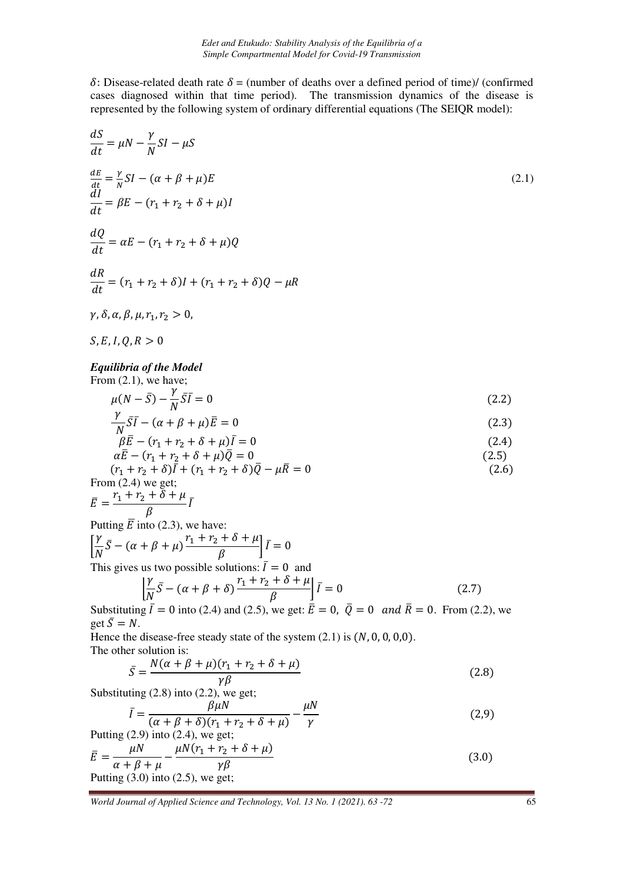$\delta$ : Disease-related death rate  $\delta$  = (number of deaths over a defined period of time)/ (confirmed cases diagnosed within that time period). The transmission dynamics of the disease is represented by the following system of ordinary differential equations (The SEIQR model):

$$
\frac{dS}{dt} = \mu N - \frac{\gamma}{N} SI - \mu S
$$
\n
$$
\frac{dE}{dt} = \frac{\gamma}{n} SI - (\alpha + \beta + \mu) E
$$
\n(2.1)  
\n
$$
\frac{dI}{dt} = \beta E - (r_1 + r_2 + \delta + \mu) I
$$
\n
$$
\frac{dQ}{dt} = \alpha E - (r_1 + r_2 + \delta) I + (r_1 + r_2 + \delta) Q - \mu R
$$
\n
$$
\gamma, \delta, \alpha, \beta, \mu, r_1, r_2 > 0,
$$
\n*S, E, I, Q, R > 0*\n*Equilibrium of the Model*  
\nFrom (2.1), we have;  
\n
$$
\mu (N - \overline{S}) - \frac{\gamma}{N} \overline{SI} = 0
$$
\n
$$
\frac{\gamma}{N} \overline{SI} - (\alpha + \beta + \mu) \overline{E} = 0
$$
\n(2.2)  
\n
$$
\frac{\gamma}{N} \overline{SI} - (\alpha + \beta + \mu) \overline{E} = 0
$$
\n
$$
\alpha E - (r_1 + r_2 + \delta + \mu) \overline{I} = 0
$$
\n(2.3)  
\n
$$
\beta \overline{E} - (r_1 + r_2 + \delta + \mu) \overline{I} = 0
$$
\n(2.4)  
\n
$$
\alpha E - (r_1 + r_2 + \delta + \mu) \overline{I} = 0
$$
\n(2.5)  
\nFrom (2.4) we get;  
\n
$$
\overline{E} = \frac{r_1 + r_2 + \delta + \mu}{\beta} \overline{I}
$$
\nPutting  $\overline{E}$  into (2.3), we have:  
\n
$$
\overline{E} = \frac{r_1 + r_2 + \delta + \mu}{\lambda \overline{I} + \gamma \overline{I} + \gamma \overline{I} + \delta + \mu} \overline{I} = 0
$$
\nThis gives us two possible solutions:  $\overline{I} = 0$  and  
\n
$$
\begin{bmatrix} \gamma}{\sqrt{S}} - (\alpha + \beta + \mu) \frac{r_1 + r_2 + \delta + \mu}{\beta} \overline{I} = 0 \end{bmatrix} \overline{I} = 0
$$
\

$$
\bar{I} = \frac{\beta \mu N}{(\alpha + \beta + \delta)(r_1 + r_2 + \delta + \mu)} - \frac{\mu N}{\gamma}
$$
\n
$$
\sigma (2.9)
$$
 into (2.4) we get: (2.9)

Putting (2.9) into (2.4), we get;  
\n
$$
\overline{E} = \frac{\mu N}{\alpha + \beta + \mu} - \frac{\mu N (r_1 + r_2 + \delta + \mu)}{\gamma \beta}
$$
\n
$$
\text{Putting (3.0) into (2.5), we get;}
$$
\n(3.0)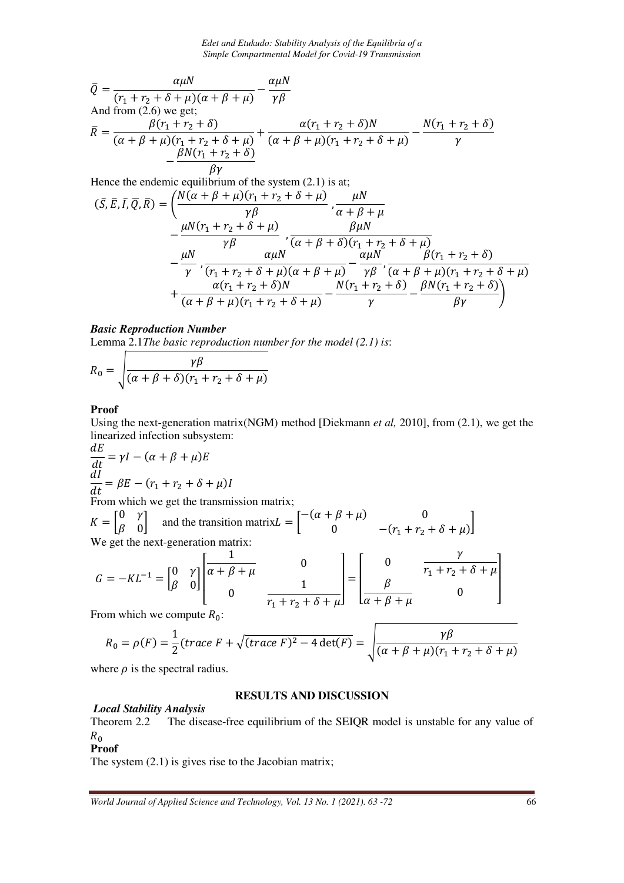*Edet and Etukudo: Stability Analysis of the Equilibria of a Simple Compartmental Model for Covid-19 Transmission* 

$$
\overline{Q} = \frac{\alpha \mu N}{(r_1 + r_2 + \delta + \mu)(\alpha + \beta + \mu)} - \frac{\alpha \mu N}{\gamma \beta}
$$
  
And from (2.6) we get;  

$$
\overline{R} = \frac{\beta(r_1 + r_2 + \delta)}{(\alpha + \beta + \mu)(r_1 + r_2 + \delta + \mu)} + \frac{\alpha(r_1 + r_2 + \delta)N}{(\alpha + \beta + \mu)(r_1 + r_2 + \delta + \mu)} - \frac{N(r_1 + r_2 + \delta)}{\gamma}
$$

$$
-\frac{\beta N(r_1 + r_2 + \delta)}{\beta \gamma}
$$

Hence the endemic equilibrium of the system (2.1) is at;

$$
(\bar{S}, \bar{E}, \bar{I}, \bar{Q}, \bar{R}) = \left(\frac{N(\alpha + \beta + \mu)(r_1 + r_2 + \delta + \mu)}{r\beta}, \frac{\mu N}{\alpha + \beta + \mu} \right) - \frac{\mu N(r_1 + r_2 + \delta + \mu)}{r\beta}, \frac{\beta \mu N}{(\alpha + \beta + \delta)(r_1 + r_2 + \delta + \mu)} - \frac{\mu N}{\gamma}, \frac{\alpha \mu N}{(r_1 + r_2 + \delta + \mu)(\alpha + \beta + \mu)} - \frac{\alpha \mu N}{r\beta}, \frac{\beta(r_1 + r_2 + \delta)}{(\alpha + \beta + \mu)(r_1 + r_2 + \delta + \mu)} + \frac{\alpha(r_1 + r_2 + \delta)N}{(\alpha + \beta + \mu)(r_1 + r_2 + \delta + \mu)} - \frac{N(r_1 + r_2 + \delta)}{\gamma} - \frac{\beta N(r_1 + r_2 + \delta)}{\beta \gamma}\right)
$$

## *Basic Reproduction Number*

Lemma 2.1*The basic reproduction number for the model (2.1) is*:

$$
R_0 = \sqrt{\frac{\gamma \beta}{(\alpha + \beta + \delta)(r_1 + r_2 + \delta + \mu)}}
$$

#### **Proof**

Using the next-generation matrix(NGM) method [Diekmann *et al,* 2010], from (2.1), we get the linearized infection subsystem:

$$
\frac{dE}{dt} = \gamma I - (\alpha + \beta + \mu)E
$$
  

$$
\frac{dI}{dt} = \beta E - (r_1 + r_2 + \delta + \mu)I
$$

From which we get the transmission matrix;

$$
K = \begin{bmatrix} 0 & \gamma \\ \beta & 0 \end{bmatrix}
$$
 and the transition matrix $L = \begin{bmatrix} -(\alpha + \beta + \mu) & 0 \\ 0 & -(r_1 + r_2 + \delta + \mu) \end{bmatrix}$   
We get the next-generation matrix:

$$
G = -KL^{-1} = \begin{bmatrix} 0 & \gamma \\ \beta & 0 \end{bmatrix} \begin{bmatrix} \frac{1}{\alpha + \beta + \mu} & 0 \\ 0 & \frac{1}{r_1 + r_2 + \delta + \mu} \end{bmatrix} = \begin{bmatrix} 0 & \frac{\gamma}{r_1 + r_2 + \delta + \mu} \\ \frac{\beta}{\alpha + \beta + \mu} & 0 \end{bmatrix}
$$

From which we compute  $R_0$ :

$$
R_0 = \rho(F) = \frac{1}{2} (trace F + \sqrt{(trace F)^2 - 4 \det(F)} = \sqrt{\frac{\gamma \beta}{(\alpha + \beta + \mu)(r_1 + r_2 + \delta + \mu)}}
$$

where  $\rho$  is the spectral radius.

## **RESULTS AND DISCUSSION**

## *Local Stability Analysis*

Theorem 2.2 The disease-free equilibrium of the SEIQR model is unstable for any value of  $R_0$ 

#### **Proof**

The system (2.1) is gives rise to the Jacobian matrix;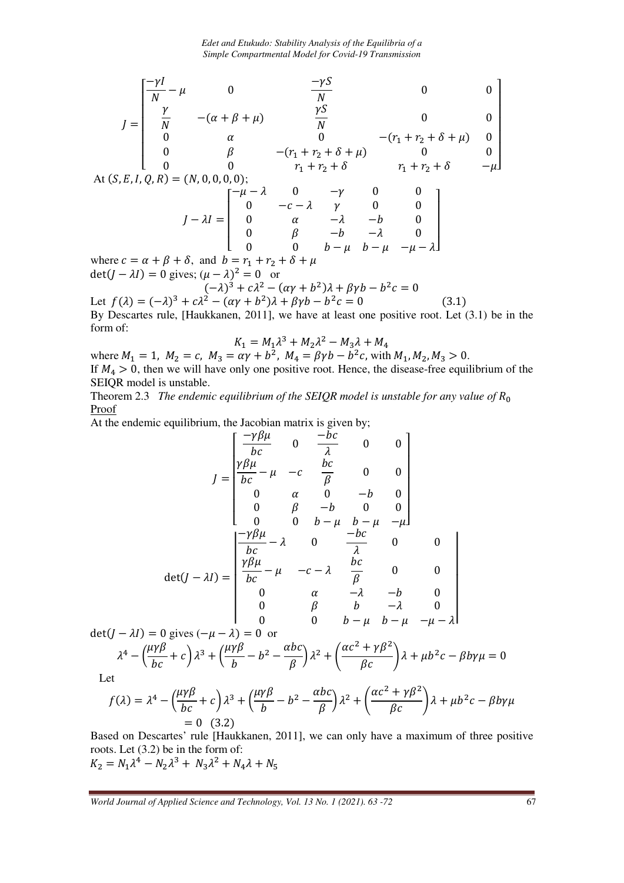*Edet and Etukudo: Stability Analysis of the Equilibria of a Simple Compartmental Model for Covid-19 Transmission* 

$$
J = \begin{bmatrix} \frac{-\gamma I}{N} - \mu & 0 & \frac{-\gamma S}{N} & 0 & 0\\ \frac{\gamma}{N} & -(\alpha + \beta + \mu) & \frac{\gamma S}{N} & 0 & 0\\ 0 & \alpha & 0 & -(r_1 + r_2 + \delta + \mu) & 0\\ 0 & \beta & -(r_1 + r_2 + \delta + \mu) & 0 & 0\\ 0 & 0 & r_1 + r_2 + \delta & r_1 + r_2 + \delta & -\mu \end{bmatrix}
$$
  
At  $(S, E, I, Q, R) = (N, 0, 0, 0, 0)$ ;  

$$
J - \lambda I = \begin{bmatrix} -\mu - \lambda & 0 & -\gamma & 0 & 0\\ 0 & -c - \lambda & \gamma & 0 & 0\\ 0 & \alpha & -\lambda & -b & 0\\ 0 & \beta & -b & -\lambda & 0\\ 0 & 0 & b - \mu & b - \mu & -\mu - \lambda \end{bmatrix}
$$
  
where  $c = \alpha + \beta + \delta$  and  $b = r_1 + r_2 + \delta + \mu$ 

where  $c = \alpha + \beta + \delta$ , and  $b = r_1 + r_2 + \delta + \mu$  $\det(J - \lambda I) = 0$  gives;  $(\mu - \lambda)^2 = 0$  or  $(-\lambda)^3 + c\lambda^2 - (\alpha\gamma + b^2)\lambda + \beta\gamma b - b^2c = 0$ 

Let  $f(\lambda) = (-\lambda)^3 + c\lambda^2 - (\alpha\gamma + b^2)\lambda + \beta\gamma b - b^2c = 0$  (3.1) By Descartes rule, [Haukkanen, 2011], we have at least one positive root. Let (3.1) be in the form of:

$$
K_1 = M_1 \lambda^3 + M_2 \lambda^2 - M_3 \lambda + M_4
$$

where  $M_1 = 1$ ,  $M_2 = c$ ,  $M_3 = \alpha \gamma + b^2$ ,  $M_4 = \beta \gamma b - b^2 c$ , with  $M_1, M_2, M_3 > 0$ . If  $M_4 > 0$ , then we will have only one positive root. Hence, the disease-free equilibrium of the SEIQR model is unstable.

Theorem 2.3 *The endemic equilibrium of the SEIQR model is unstable for any value of*  $R_0$ Proof

At the endemic equilibrium, the Jacobian matrix is given by;

$$
J = \begin{bmatrix} \frac{-\gamma \beta \mu}{bc} & 0 & \frac{-bc}{\lambda} & 0 & 0 \\ \frac{\gamma \beta \mu}{bc} - \mu & -c & \frac{bc}{\beta} & 0 & 0 \\ 0 & \alpha & 0 & -b & 0 \\ 0 & \beta & -b & 0 & 0 \\ 0 & 0 & b - \mu & b - \mu & -\mu \end{bmatrix}
$$
  
det $(J - \lambda I)$ 
$$
= \begin{bmatrix} \frac{-\gamma \beta \mu}{bc} - \lambda & 0 & \frac{-bc}{\lambda} & 0 & 0 \\ \frac{\gamma \beta \mu}{bc} - \mu & -c - \lambda & \frac{bc}{\beta} & 0 & 0 \\ 0 & \alpha & -\lambda & -b & 0 \\ 0 & \beta & b & -\lambda & 0 \\ 0 & 0 & b - \mu & b - \mu & -\mu - \lambda \end{bmatrix}
$$

 $det(I - \lambda I) = 0$  gives  $(-\mu - \lambda) = 0$  or

$$
\lambda^4 - \left(\frac{\mu\gamma\beta}{bc} + c\right)\lambda^3 + \left(\frac{\mu\gamma\beta}{b} - b^2 - \frac{abc}{\beta}\right)\lambda^2 + \left(\frac{\alpha c^2 + \gamma\beta^2}{\beta c}\right)\lambda + \mu b^2 c - \beta b \gamma \mu = 0
$$

Let

$$
f(\lambda) = \lambda^4 - \left(\frac{\mu\gamma\beta}{bc} + c\right)\lambda^3 + \left(\frac{\mu\gamma\beta}{b} - b^2 - \frac{\alpha bc}{\beta}\right)\lambda^2 + \left(\frac{\alpha c^2 + \gamma\beta^2}{\beta c}\right)\lambda + \mu b^2 c - \beta b \gamma \mu
$$
  
= 0 (3.2)

Based on Descartes' rule [Haukkanen, 2011], we can only have a maximum of three positive roots. Let (3.2) be in the form of:  $K_2 = N_1 \lambda^4 - N_2 \lambda^3 + N_3 \lambda^2 + N_4 \lambda + N_5$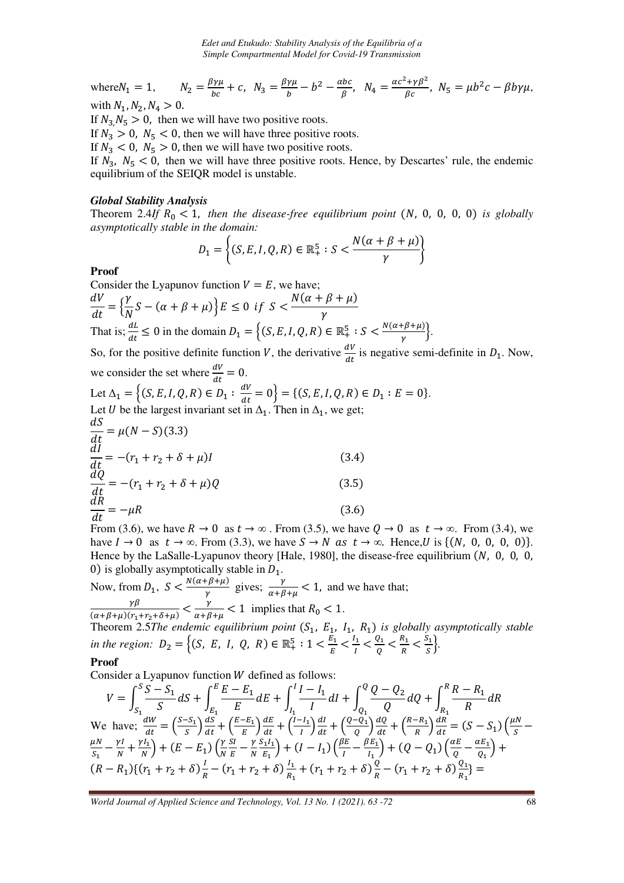where 
$$
N_1 = 1
$$
,  $N_2 = \frac{\beta \gamma \mu}{bc} + c$ ,  $N_3 = \frac{\beta \gamma \mu}{b} - b^2 - \frac{abc}{\beta}$ ,  $N_4 = \frac{\alpha c^2 + \gamma \beta^2}{\beta c}$ ,  $N_5 = \mu b^2 c - \beta b \gamma \mu$ ,  
with  $N_4, N_2, N_4 > 0$ .

with  $N_1$ ,  $N_2$ ,  $N_4 > 0$ .

If  $N_3$ ,  $N_5 > 0$ , then we will have two positive roots.

If  $N_3 > 0$ ,  $N_5 < 0$ , then we will have three positive roots.

If  $N_3 < 0$ ,  $N_5 > 0$ , then we will have two positive roots.

If  $N_3$ ,  $N_5$  < 0, then we will have three positive roots. Hence, by Descartes' rule, the endemic equilibrium of the SEIQR model is unstable.

## *Global Stability Analysis*

Theorem 2.4*If*  $R_0 < 1$ , *then the disease-free equilibrium point* (N, 0, 0, 0, 0) *is globally asymptotically stable in the domain:* 

$$
D_1 = \left\{ (S, E, I, Q, R) \in \mathbb{R}_+^5 : S < \frac{N(\alpha + \beta + \mu)}{\gamma} \right\}
$$

## **Proof**

Consider the Lyapunov function  $V = E$ , we have;  $dV$  $\overline{dt} = \{$  $\gamma$  $\frac{1}{N}S - (\alpha + \beta + \mu)\}E \leq 0$  if  $S <$  $N(\alpha + \beta + \mu)$  $\gamma$ That is;  $\frac{dL}{dt} \le 0$  in the domain  $D_1 = \left\{ (S, E, I, Q, R) \in \mathbb{R}^5_+ : S < \frac{N(\alpha + \beta + \mu)}{\gamma} \right\}$ .

So, for the positive definite function V, the derivative  $\frac{dV}{dt}$  is negative semi-definite in  $D_1$ . Now, we consider the set where  $\frac{dv}{dt} = 0$ .

Let 
$$
\Delta_1 = \{(S, E, I, Q, R) \in D_1 : \frac{dV}{dt} = 0\} = \{(S, E, I, Q, R) \in D_1 : E = 0\}.
$$
  
Let *U* be the largest invariant set in  $\Delta_1$ . Then in  $\Delta_1$ , we get;

$$
\frac{dS}{dt} = \mu(N - S)(3.3)
$$
\n
$$
\frac{dI}{dt} = -(r_1 + r_2 + \delta + \mu)I
$$
\n(3.4)\n
$$
\frac{dQ}{dt} = -(r_1 + r_2 + \delta + \mu)Q
$$
\n(3.5)\n
$$
\frac{dR}{dt} = -\mu R
$$
\n(3.6)

From (3.6), we have  $R \to 0$  as  $t \to \infty$ . From (3.5), we have  $Q \to 0$  as  $t \to \infty$ . From (3.4), we have  $I \to 0$  as  $t \to \infty$ . From (3.3), we have  $S \to N$  as  $t \to \infty$ . Hence, U is  $\{(N, 0, 0, 0, 0)\}.$ Hence by the LaSalle-Lyapunov theory [Hale, 1980], the disease-free equilibrium  $(N, 0, 0, 0, 0)$ 0) is globally asymptotically stable in  $D_1$ .

Now, from  $D_1$ ,  $S < \frac{N(\alpha + \beta + \mu)}{\gamma}$  gives;  $\frac{\gamma}{\alpha + \beta + \mu} < 1$ , and we have that; γ  $\gamma\beta$  $\frac{\gamma\beta}{(\alpha+\beta+\mu)(r_1+r_2+\delta+\mu)} < \frac{\gamma}{\alpha+\beta+\mu} < 1$  implies that  $R_0 < 1$ .

Theorem 2.5*The endemic equilibrium point*  $(S_1, E_1, I_1, R_1)$  *is globally asymptotically stable in the region:*  $D_2 = \left\{ (S, E, I, Q, R) \in \mathbb{R}^5_+ : 1 < \frac{E_1}{E} < \frac{I_1}{I_2} \right\}$  $\frac{l_1}{l} < \frac{Q_1}{Q}$  $\frac{Q_1}{Q} < \frac{R_1}{R}$  $\frac{R_1}{R} < \frac{S_1}{S}$  $\frac{m}{s}$ .

## **Proof**

Consider a Lyapunov function  $W$  defined as follows:

$$
V = \int_{S_1}^{S} \frac{S - S_1}{S} dS + \int_{E_1}^{E} \frac{E - E_1}{E} dE + \int_{I_1}^{I} \frac{I - I_1}{I} dI + \int_{Q_1}^{Q} \frac{Q - Q_2}{Q} dQ + \int_{R_1}^{R} \frac{R - R_1}{R} dR
$$
  
We have;  $\frac{dW}{dt} = \left(\frac{S - S_1}{S}\right) \frac{dS}{dt} + \left(\frac{E - E_1}{E}\right) \frac{dE}{dt} + \left(\frac{I - I_1}{I}\right) \frac{dI}{dt} + \left(\frac{Q - Q_1}{Q}\right) \frac{dQ}{dt} + \left(\frac{R - R_1}{R}\right) \frac{dR}{dt} = (S - S_1) \left(\frac{\mu N}{S} - \frac{\mu N}{N} - \frac{\gamma I}{N} + \frac{\gamma I_1}{N}\right) + (E - E_1) \left(\frac{\gamma S I}{N} - \frac{\gamma S_1 I_1}{E_1}\right) + (I - I_1) \left(\frac{\beta E}{I} - \frac{\beta E_1}{I_1}\right) + (Q - Q_1) \left(\frac{\alpha E}{Q} - \frac{\alpha E_1}{Q_1}\right) + (R - R_1) \left\{(r_1 + r_2 + \delta)\frac{I}{R} - (r_1 + r_2 + \delta)\frac{I_1}{R_1} + (r_1 + r_2 + \delta)\frac{Q}{R} - (r_1 + r_2 + \delta)\frac{Q_1}{R_1}\right\} =$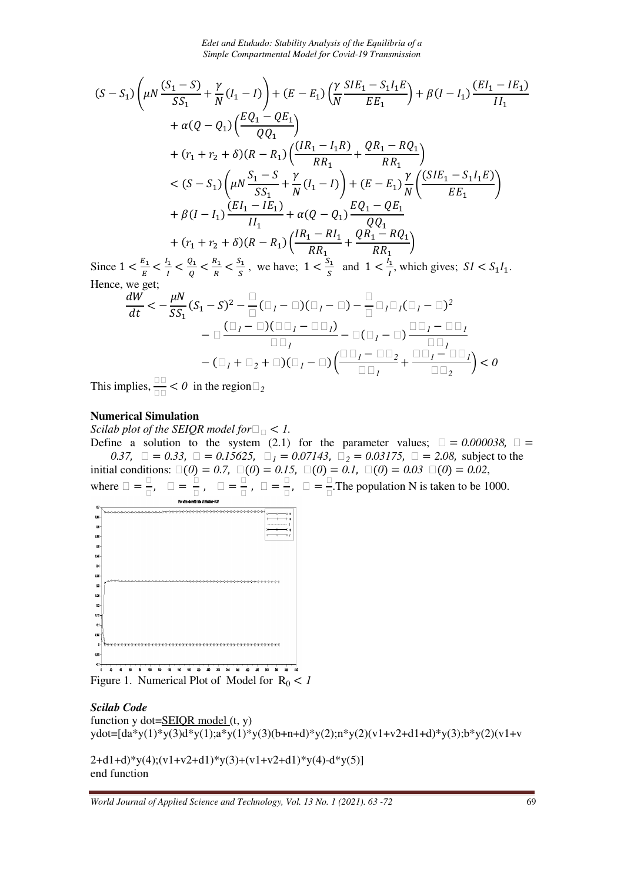*Edet and Etukudo: Stability Analysis of the Equilibria of a Simple Compartmental Model for Covid-19 Transmission* 

$$
(S - S_1) \left(\mu N \frac{(S_1 - S)}{SS_1} + \frac{\gamma}{N} (I_1 - I) \right) + (E - E_1) \left(\frac{\gamma}{N} \frac{SIE_1 - S_1 I_1 E}{EE_1} \right) + \beta (I - I_1) \frac{(EI_1 - IE_1)}{II_1}
$$
  
+  $\alpha (Q - Q_1) \left(\frac{EQ_1 - QE_1}{QQ_1} \right)$   
+  $(r_1 + r_2 + \delta)(R - R_1) \left(\frac{(IR_1 - I_1 R)}{RR_1} + \frac{QR_1 - RQ_1}{RR_1} \right)$   
 $< (S - S_1) \left(\mu N \frac{S_1 - S}{SS_1} + \frac{\gamma}{N} (I_1 - I) \right) + (E - E_1) \frac{\gamma}{N} \left(\frac{(SIE_1 - S_1 I_1 E)}{EE_1} \right)$   
+  $\beta (I - I_1) \frac{(EI_1 - IE_1)}{II_1} + \alpha (Q - Q_1) \frac{EQ_1 - QE_1}{QQ_1}$   
+  $(r_1 + r_2 + \delta)(R - R_1) \left(\frac{IR_1 - RI_1}{RR_1} + \frac{QR_1 - RQ_1}{RR_1} \right)$   
Since  $1 \le \frac{E_1}{I_1} < \frac{Q_1}{I_1} < \frac{R_1}{I_1} < \frac{S_1}{I_1}$ , we have:  $1 \le \frac{S_1}{I_1}$  and  $1 \le \frac{I_1}{I_1}$ , which gives:  $SI \le S$ 

Since  $1 < \frac{E_1}{E} < \frac{I_1}{I}$  $\frac{l_1}{l} < \frac{Q_1}{Q}$  $\frac{Q_1}{Q} < \frac{R_1}{R}$  $\frac{R_1}{R} < \frac{S_1}{S}$  $\frac{S_1}{S}$ , we have;  $1 < \frac{S_1}{S}$  and  $1 < \frac{l_1}{l}$ , which gives;  $SI < S_1 l_1$ . Hence, we get;

$$
\frac{dW}{dt} < -\frac{\mu N}{SS_1}(S_1 - S)^2 - \frac{D}{\Box}(\Box_I - \Box)(\Box_I - \Box) - \frac{D}{\Box} \Box_I \Box_I (\Box_I - \Box)^2
$$
\n
$$
-\Box \frac{(\Box_I - \Box)(\Box \Box_I - \Box \Box_I)}{\Box \Box_I} - \Box(\Box_I - \Box) \frac{\Box \Box_I - \Box \Box_I}{\Box \Box_I}
$$
\n
$$
-(\Box_I + \Box_2 + \Box)(\Box_I - \Box) \left(\frac{\Box \Box_I - \Box \Box_2}{\Box \Box_I} + \frac{\Box \Box_I - \Box \Box_I}{\Box \Box_2}\right) < 0
$$

This implies,  $\frac{10}{10} < 0$  in the region  $2$ 

#### **Numerical Simulation**

*Scilab plot of the SEIQR model for* <sup>&</sup>lt; *1.* 

Define a solution to the system (2.1) for the parameter values;  $\Box = 0.000038$ ,  $\Box =$ *0.37*,  $\Box = 0.33$ ,  $\Box = 0.15625$ ,  $\Box_1 = 0.07143$ ,  $\Box_2 = 0.03175$ ,  $\Box = 2.08$ , subject to the initial conditions:  $\square(0) = 0.7$ ,  $\square(0) = 0.15$ ,  $\square(0) = 0.1$ ,  $\square(0) = 0.03$   $\square(0) = 0.02$ , where  $\Box = \frac{U}{\Box}$ ,  $\Box = \frac{1}{\Box}$ *- -* , *-* =  $\frac{1}{\Box}$ ,  $\Box$  = **<u>-</u>**, **□ =**  $\frac{1}{\Box}$ . The population N is taken to be 1000.



Figure 1. Numerical Plot of Model for  $R_0 < 1$ 

```
Scilab Code
function y \cdot dot = SEIQR \mod(t, y)ydot=[da*y(1)*y(3)d*y(1);a*y(1)*y(3)(b+n+d)*y(2);n*y(2)(v1+v2+d1+d)*y(3);b*y(2)(v1+v
```
2+d1+d)\*y(4);(v1+v2+d1)\*y(3)+(v1+v2+d1)\*y(4)-d\*y(5)] end function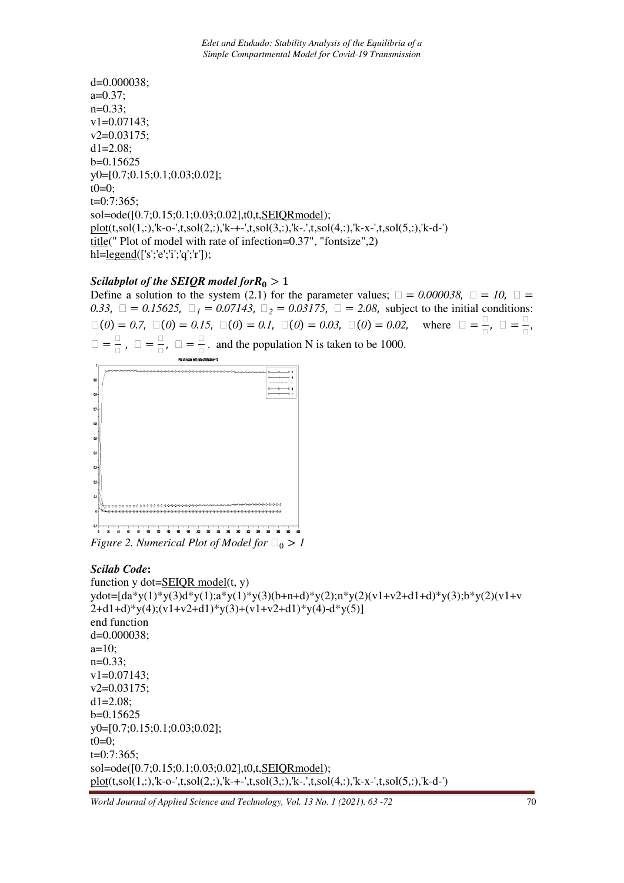d=0.000038;  $a=0.37;$ n=0.33; v1=0.07143; v2=0.03175;  $dl = 2.08;$ b=0.15625 y0=[0.7;0.15;0.1;0.03;0.02];  $t0=0$ ; t=0:7:365; sol=ode([0.7;0.15;0.1;0.03;0.02],t0,t,SEIQRmodel);  $plot(t, sol(1, :), 'k-o', t, sol(2, :), 'k++', t, sol(3, :), 'k-.', t, sol(4, :), 'k-x-, t, sol(5, :), 'k-d-)$ title(" Plot of model with rate of infection=0.37", "fontsize",2) hl=<u>legend(['s';'e';'i';'q';'r'])</u>;

# *Scilabplot of the SEIQR model for* $R_0 > 1$

Define a solution to the system (2.1) for the parameter values;  $\Box = 0.000038$ ,  $\Box = 10$ ,  $\Box =$ *0.33*,  $\Box = 0.15625$ ,  $\Box_1 = 0.07143$ ,  $\Box_2 = 0.03175$ ,  $\Box = 2.08$ , subject to the initial conditions:  $\square(0) = 0.7, \ \square(0) = 0.15, \ \square(0) = 0.1, \ \square(0) = 0.03, \ \square(0) = 0.02,$  where  $\square =$  $\frac{1}{\Box}$ ,  $\Box$  = *- -*,  $\Box =$  $\frac{1}{n}$ ,  $\Box$  =  $\frac{1}{n}$ ,  $\Box$  =  $\frac{1}{\Box}$ . and the population N is taken to be 1000.



*Figure 2. Numerical Plot of Model for*  $\square_0 > 1$ 

## *Scilab Code***:**

```
function v \cdot \text{dot} = \text{SEIOR model}(t, v)ydot=[da*y(1)*y(3)d*y(1);a*y(1)*y(3)(b+n+d)*y(2);n*y(2)(v1+v2+d1+d)*y(3);b*y(2)(v1+v 
2+d1+d<sup>*</sup>y(4);(v1+v2+d1)*y(3)+(v1+v2+d1)*y(4)-d*y(5)]
end function 
d=0.000038; 
a=10;
n=0.33; 
v1=0.07143; 
v2=0.03175; 
d1 = 2.08;
b=0.15625 
y0=[0.7;0.15;0.1;0.03;0.02]; 
t0=0:
t=0:7:365; 
sol=ode([0.7;0.15;0.1;0.03;0.02],t0,t,SEIQRmodel); 
plot(t,sol(1,:),'k-o-',t,sol(2,:),'k-+-',t,sol(3,:),'k-.',t,sol(4,:),'k-x-',t,sol(5,:),'k-d-')
```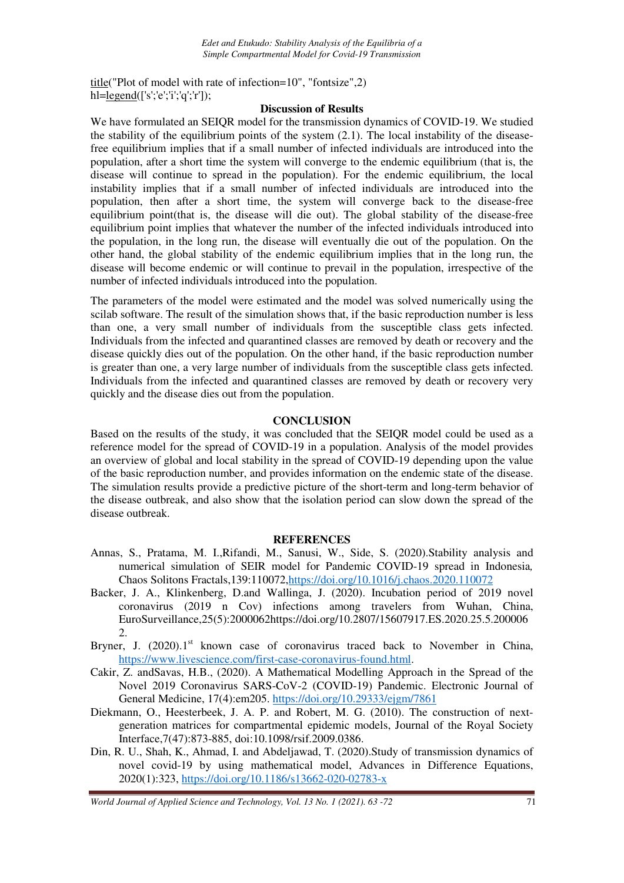title("Plot of model with rate of infection=10", "fontsize",2) hl=legend(['s';'e';'i';'q';'r']);

#### **Discussion of Results**

We have formulated an SEIQR model for the transmission dynamics of COVID-19. We studied the stability of the equilibrium points of the system  $(2.1)$ . The local instability of the diseasefree equilibrium implies that if a small number of infected individuals are introduced into the population, after a short time the system will converge to the endemic equilibrium (that is, the disease will continue to spread in the population). For the endemic equilibrium, the local instability implies that if a small number of infected individuals are introduced into the population, then after a short time, the system will converge back to the disease-free equilibrium point(that is, the disease will die out). The global stability of the disease-free equilibrium point implies that whatever the number of the infected individuals introduced into the population, in the long run, the disease will eventually die out of the population. On the other hand, the global stability of the endemic equilibrium implies that in the long run, the disease will become endemic or will continue to prevail in the population, irrespective of the number of infected individuals introduced into the population.

The parameters of the model were estimated and the model was solved numerically using the scilab software. The result of the simulation shows that, if the basic reproduction number is less than one, a very small number of individuals from the susceptible class gets infected. Individuals from the infected and quarantined classes are removed by death or recovery and the disease quickly dies out of the population. On the other hand, if the basic reproduction number is greater than one, a very large number of individuals from the susceptible class gets infected. Individuals from the infected and quarantined classes are removed by death or recovery very quickly and the disease dies out from the population.

## **CONCLUSION**

Based on the results of the study, it was concluded that the SEIQR model could be used as a reference model for the spread of COVID-19 in a population. Analysis of the model provides an overview of global and local stability in the spread of COVID-19 depending upon the value of the basic reproduction number, and provides information on the endemic state of the disease. The simulation results provide a predictive picture of the short-term and long-term behavior of the disease outbreak, and also show that the isolation period can slow down the spread of the disease outbreak.

## **REFERENCES**

- Annas, S., Pratama, M. I.,Rifandi, M., Sanusi, W., Side, S. (2020).Stability analysis and numerical simulation of SEIR model for Pandemic COVID-19 spread in Indonesia*,*  Chaos Solitons Fractals,139:110072,https://doi.org/10.1016/j.chaos.2020.110072
- Backer, J. A., Klinkenberg, D.and Wallinga, J. (2020). Incubation period of 2019 novel coronavirus (2019 n Cov) infections among travelers from Wuhan, China, EuroSurveillance,25(5):2000062https://doi.org/10.2807/15607917.ES.2020.25.5.200006 2.
- Bryner, J.  $(2020).1<sup>st</sup>$  known case of coronavirus traced back to November in China, https://www.livescience.com/first-case-coronavirus-found.html.
- Cakir, Z. andSavas, H.B., (2020). A Mathematical Modelling Approach in the Spread of the Novel 2019 Coronavirus SARS-CoV-2 (COVID-19) Pandemic. Electronic Journal of General Medicine, 17(4):em205. https://doi.org/10.29333/ejgm/7861
- Diekmann, O., Heesterbeek, J. A. P. and Robert, M. G. (2010). The construction of nextgeneration matrices for compartmental epidemic models, Journal of the Royal Society Interface,7(47):873-885, doi:10.1098/rsif.2009.0386.
- Din, R. U., Shah, K., Ahmad, I. and Abdeljawad, T. (2020).Study of transmission dynamics of novel covid-19 by using mathematical model, Advances in Difference Equations, 2020(1):323, https://doi.org/10.1186/s13662-020-02783-x